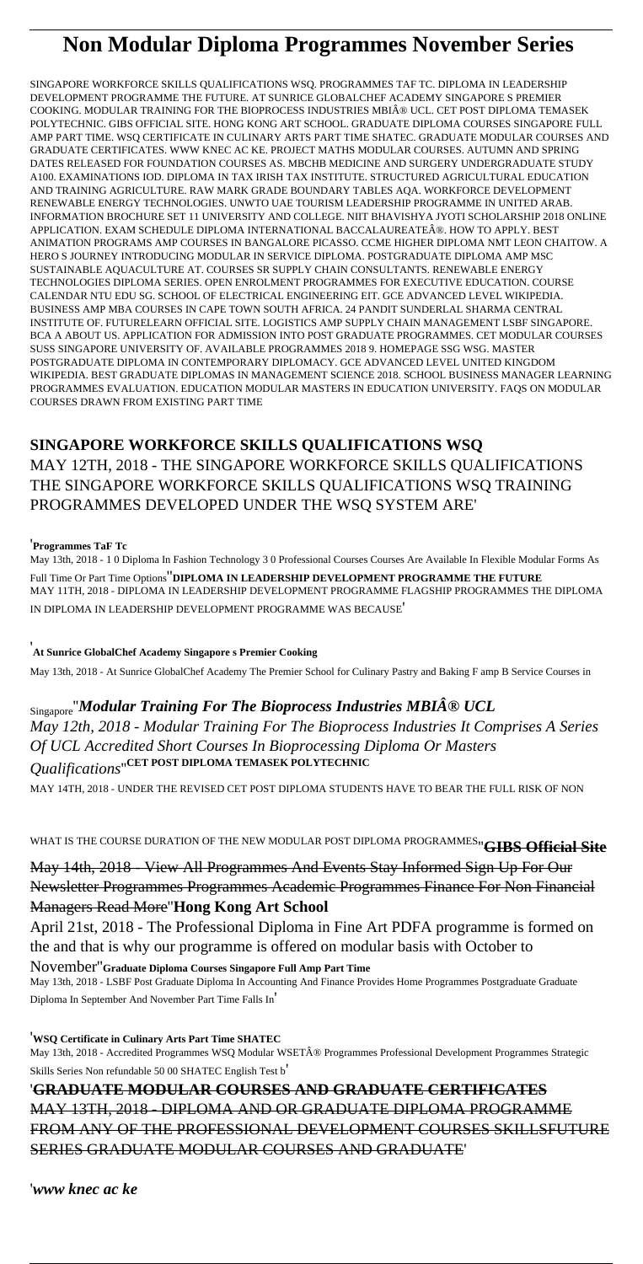# **Non Modular Diploma Programmes November Series**

SINGAPORE WORKFORCE SKILLS QUALIFICATIONS WSQ. PROGRAMMES TAF TC. DIPLOMA IN LEADERSHIP DEVELOPMENT PROGRAMME THE FUTURE. AT SUNRICE GLOBALCHEF ACADEMY SINGAPORE S PREMIER COOKING. MODULAR TRAINING FOR THE BIOPROCESS INDUSTRIES MBI® UCL. CET POST DIPLOMA TEMASEK POLYTECHNIC. GIBS OFFICIAL SITE. HONG KONG ART SCHOOL. GRADUATE DIPLOMA COURSES SINGAPORE FULL AMP PART TIME. WSQ CERTIFICATE IN CULINARY ARTS PART TIME SHATEC. GRADUATE MODULAR COURSES AND GRADUATE CERTIFICATES. WWW KNEC AC KE. PROJECT MATHS MODULAR COURSES. AUTUMN AND SPRING DATES RELEASED FOR FOUNDATION COURSES AS. MBCHB MEDICINE AND SURGERY UNDERGRADUATE STUDY A100. EXAMINATIONS IOD. DIPLOMA IN TAX IRISH TAX INSTITUTE. STRUCTURED AGRICULTURAL EDUCATION AND TRAINING AGRICULTURE. RAW MARK GRADE BOUNDARY TABLES AQA. WORKFORCE DEVELOPMENT RENEWABLE ENERGY TECHNOLOGIES. UNWTO UAE TOURISM LEADERSHIP PROGRAMME IN UNITED ARAB. INFORMATION BROCHURE SET 11 UNIVERSITY AND COLLEGE. NIIT BHAVISHYA JYOTI SCHOLARSHIP 2018 ONLINE APPLICATION. EXAM SCHEDULE DIPLOMA INTERNATIONAL BACCALAUREATE®. HOW TO APPLY. BEST ANIMATION PROGRAMS AMP COURSES IN BANGALORE PICASSO. CCME HIGHER DIPLOMA NMT LEON CHAITOW. A HERO S JOURNEY INTRODUCING MODULAR IN SERVICE DIPLOMA. POSTGRADUATE DIPLOMA AMP MSC SUSTAINABLE AQUACULTURE AT. COURSES SR SUPPLY CHAIN CONSULTANTS. RENEWABLE ENERGY TECHNOLOGIES DIPLOMA SERIES. OPEN ENROLMENT PROGRAMMES FOR EXECUTIVE EDUCATION. COURSE CALENDAR NTU EDU SG. SCHOOL OF ELECTRICAL ENGINEERING EIT. GCE ADVANCED LEVEL WIKIPEDIA. BUSINESS AMP MBA COURSES IN CAPE TOWN SOUTH AFRICA. 24 PANDIT SUNDERLAL SHARMA CENTRAL INSTITUTE OF. FUTURELEARN OFFICIAL SITE. LOGISTICS AMP SUPPLY CHAIN MANAGEMENT LSBF SINGAPORE. BCA A ABOUT US. APPLICATION FOR ADMISSION INTO POST GRADUATE PROGRAMMES. CET MODULAR COURSES SUSS SINGAPORE UNIVERSITY OF. AVAILABLE PROGRAMMES 2018 9. HOMEPAGE SSG WSG. MASTER POSTGRADUATE DIPLOMA IN CONTEMPORARY DIPLOMACY. GCE ADVANCED LEVEL UNITED KINGDOM WIKIPEDIA. BEST GRADUATE DIPLOMAS IN MANAGEMENT SCIENCE 2018. SCHOOL BUSINESS MANAGER LEARNING PROGRAMMES EVALUATION. EDUCATION MODULAR MASTERS IN EDUCATION UNIVERSITY. FAQS ON MODULAR COURSES DRAWN FROM EXISTING PART TIME

May 13th, 2018 - Accredited Programmes WSQ Modular WSET® Programmes Professional Development Programmes Strategic Skills Series Non refundable 50 00 SHATEC English Test b'

### **SINGAPORE WORKFORCE SKILLS QUALIFICATIONS WSQ**

MAY 12TH, 2018 - THE SINGAPORE WORKFORCE SKILLS QUALIFICATIONS THE SINGAPORE WORKFORCE SKILLS QUALIFICATIONS WSQ TRAINING PROGRAMMES DEVELOPED UNDER THE WSQ SYSTEM ARE'

#### '**Programmes TaF Tc**

May 13th, 2018 - 1 0 Diploma In Fashion Technology 3 0 Professional Courses Courses Are Available In Flexible Modular Forms As Full Time Or Part Time Options''**DIPLOMA IN LEADERSHIP DEVELOPMENT PROGRAMME THE FUTURE** MAY 11TH, 2018 - DIPLOMA IN LEADERSHIP DEVELOPMENT PROGRAMME FLAGSHIP PROGRAMMES THE DIPLOMA IN DIPLOMA IN LEADERSHIP DEVELOPMENT PROGRAMME WAS BECAUSE'

'**At Sunrice GlobalChef Academy Singapore s Premier Cooking**

May 13th, 2018 - At Sunrice GlobalChef Academy The Premier School for Culinary Pastry and Baking F amp B Service Courses in

# Singapore''*Modular Training For The Bioprocess Industries MBI® UCL*

*May 12th, 2018 - Modular Training For The Bioprocess Industries It Comprises A Series Of UCL Accredited Short Courses In Bioprocessing Diploma Or Masters Qualifications*''**CET POST DIPLOMA TEMASEK POLYTECHNIC**

MAY 14TH, 2018 - UNDER THE REVISED CET POST DIPLOMA STUDENTS HAVE TO BEAR THE FULL RISK OF NON

WHAT IS THE COURSE DURATION OF THE NEW MODULAR POST DIPLOMA PROGRAMMES''**GIBS Official Site**

May 14th, 2018 - View All Programmes And Events Stay Informed Sign Up For Our Newsletter Programmes Programmes Academic Programmes Finance For Non Financial Managers Read More''**Hong Kong Art School**

April 21st, 2018 - The Professional Diploma in Fine Art PDFA programme is formed on the and that is why our programme is offered on modular basis with October to

#### November''**Graduate Diploma Courses Singapore Full Amp Part Time**

May 13th, 2018 - LSBF Post Graduate Diploma In Accounting And Finance Provides Home Programmes Postgraduate Graduate Diploma In September And November Part Time Falls In'

#### '**WSQ Certificate in Culinary Arts Part Time SHATEC**

### '**GRADUATE MODULAR COURSES AND GRADUATE CERTIFICATES** MAY 13TH, 2018 - DIPLOMA AND OR GRADUATE DIPLOMA PROGRAMME FROM ANY OF THE PROFESSIONAL DEVELOPMENT COURSES SKILLSFUTURE SERIES GRADUATE MODULAR COURSES AND GRADUATE'

'*www knec ac ke*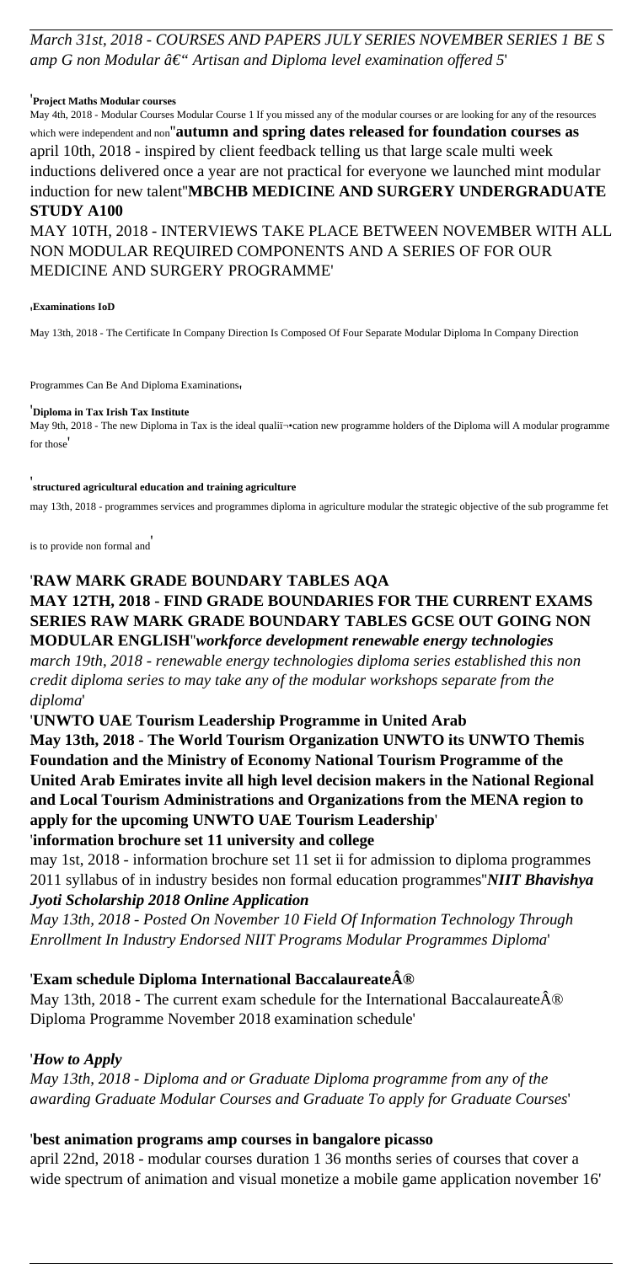*March 31st, 2018 - COURSES AND PAPERS JULY SERIES NOVEMBER SERIES 1 BE S* amp G non Modular  $\hat{a}\in$ " Artisan and Diploma level examination offered 5'

#### '**Project Maths Modular courses**

May 4th, 2018 - Modular Courses Modular Course 1 If you missed any of the modular courses or are looking for any of the resources which were independent and non''**autumn and spring dates released for foundation courses as** april 10th, 2018 - inspired by client feedback telling us that large scale multi week inductions delivered once a year are not practical for everyone we launched mint modular induction for new talent''**MBCHB MEDICINE AND SURGERY UNDERGRADUATE STUDY A100** MAY 10TH, 2018 - INTERVIEWS TAKE PLACE BETWEEN NOVEMBER WITH ALL

May 9th, 2018 - The new Diploma in Tax is the ideal qualiﬕcation new programme holders of the Diploma will A modular programme for those'

NON MODULAR REQUIRED COMPONENTS AND A SERIES OF FOR OUR MEDICINE AND SURGERY PROGRAMME'

#### '**Examinations IoD**

May 13th, 2018 - The Certificate In Company Direction Is Composed Of Four Separate Modular Diploma In Company Direction

Programmes Can Be And Diploma Examinations,

#### '**Diploma in Tax Irish Tax Institute**

#### '**structured agricultural education and training agriculture**

may 13th, 2018 - programmes services and programmes diploma in agriculture modular the strategic objective of the sub programme fet

is to provide non formal and'

May 13th, 2018 - The current exam schedule for the International Baccalaureate $\hat{A}$ ® Diploma Programme November 2018 examination schedule'

#### '**RAW MARK GRADE BOUNDARY TABLES AQA**

# **MAY 12TH, 2018 - FIND GRADE BOUNDARIES FOR THE CURRENT EXAMS SERIES RAW MARK GRADE BOUNDARY TABLES GCSE OUT GOING NON**

**MODULAR ENGLISH**''*workforce development renewable energy technologies march 19th, 2018 - renewable energy technologies diploma series established this non credit diploma series to may take any of the modular workshops separate from the diploma*'

'**UNWTO UAE Tourism Leadership Programme in United Arab**

**May 13th, 2018 - The World Tourism Organization UNWTO its UNWTO Themis Foundation and the Ministry of Economy National Tourism Programme of the United Arab Emirates invite all high level decision makers in the National Regional and Local Tourism Administrations and Organizations from the MENA region to apply for the upcoming UNWTO UAE Tourism Leadership**'

#### '**information brochure set 11 university and college**

may 1st, 2018 - information brochure set 11 set ii for admission to diploma programmes 2011 syllabus of in industry besides non formal education programmes''*NIIT Bhavishya Jyoti Scholarship 2018 Online Application*

*May 13th, 2018 - Posted On November 10 Field Of Information Technology Through Enrollment In Industry Endorsed NIIT Programs Modular Programmes Diploma*'

### '**Exam schedule Diploma International Baccalaureate®**

#### '*How to Apply*

*May 13th, 2018 - Diploma and or Graduate Diploma programme from any of the awarding Graduate Modular Courses and Graduate To apply for Graduate Courses*'

### '**best animation programs amp courses in bangalore picasso**

april 22nd, 2018 - modular courses duration 1 36 months series of courses that cover a wide spectrum of animation and visual monetize a mobile game application november 16'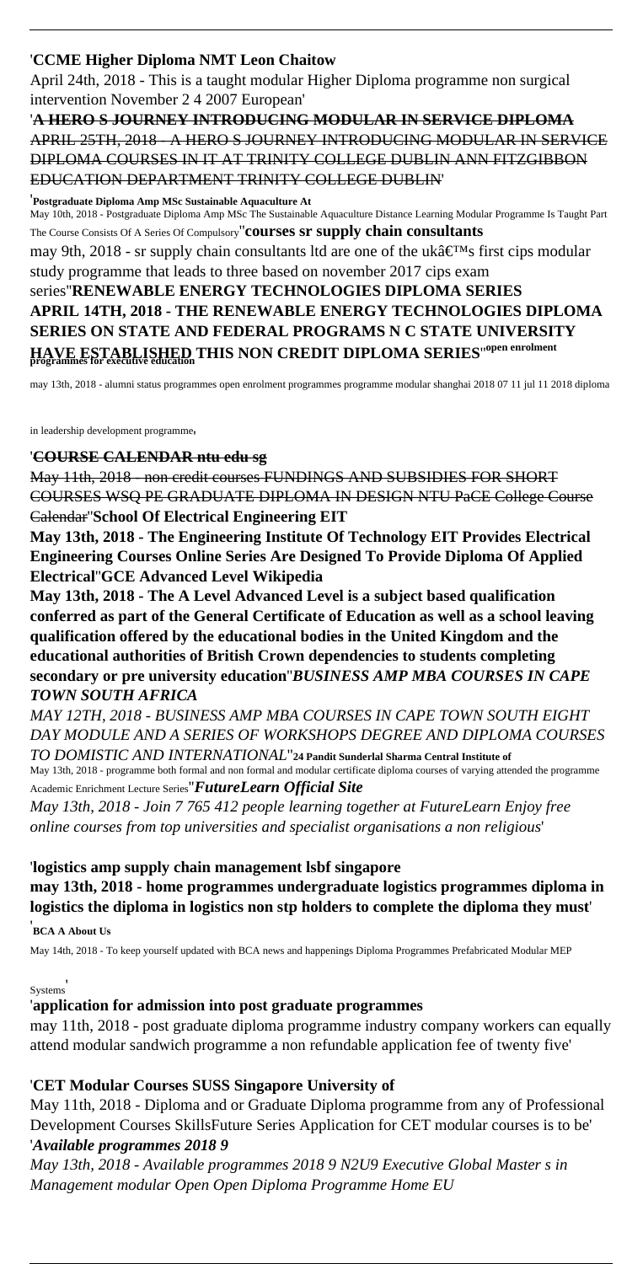### '**CCME Higher Diploma NMT Leon Chaitow**

April 24th, 2018 - This is a taught modular Higher Diploma programme non surgical intervention November 2 4 2007 European'

### '**A HERO S JOURNEY INTRODUCING MODULAR IN SERVICE DIPLOMA** APRIL 25TH, 2018 - A HERO S JOURNEY INTRODUCING MODULAR IN SERVICE DIPLOMA COURSES IN IT AT TRINITY COLLEGE DUBLIN ANN FITZGIBBON EDUCATION DEPARTMENT TRINITY COLLEGE DUBLIN'

'**Postgraduate Diploma Amp MSc Sustainable Aquaculture At**

May 10th, 2018 - Postgraduate Diploma Amp MSc The Sustainable Aquaculture Distance Learning Modular Programme Is Taught Part The Course Consists Of A Series Of Compulsory''**courses sr supply chain consultants** may 9th, 2018 - sr supply chain consultants ltd are one of the uk $\hat{a} \in \mathbb{R}^M$ s first cips modular study programme that leads to three based on november 2017 cips exam series''**RENEWABLE ENERGY TECHNOLOGIES DIPLOMA SERIES APRIL 14TH, 2018 - THE RENEWABLE ENERGY TECHNOLOGIES DIPLOMA SERIES ON STATE AND FEDERAL PROGRAMS N C STATE UNIVERSITY HAVE ESTABLISHED THIS NON CREDIT DIPLOMA SERIES**''**open enrolment programmes for executive education**

may 13th, 2018 - alumni status programmes open enrolment programmes programme modular shanghai 2018 07 11 jul 11 2018 diploma

in leadership development programme'

#### '**COURSE CALENDAR ntu edu sg**

May 11th, 2018 - non credit courses FUNDINGS AND SUBSIDIES FOR SHORT COURSES WSQ PE GRADUATE DIPLOMA IN DESIGN NTU PaCE College Course Calendar''**School Of Electrical Engineering EIT**

**May 13th, 2018 - The Engineering Institute Of Technology EIT Provides Electrical Engineering Courses Online Series Are Designed To Provide Diploma Of Applied Electrical**''**GCE Advanced Level Wikipedia**

**May 13th, 2018 - The A Level Advanced Level is a subject based qualification conferred as part of the General Certificate of Education as well as a school leaving qualification offered by the educational bodies in the United Kingdom and the educational authorities of British Crown dependencies to students completing secondary or pre university education**''*BUSINESS AMP MBA COURSES IN CAPE TOWN SOUTH AFRICA*

*MAY 12TH, 2018 - BUSINESS AMP MBA COURSES IN CAPE TOWN SOUTH EIGHT DAY MODULE AND A SERIES OF WORKSHOPS DEGREE AND DIPLOMA COURSES*

*TO DOMISTIC AND INTERNATIONAL*''**24 Pandit Sunderlal Sharma Central Institute of** May 13th, 2018 - programme both formal and non formal and modular certificate diploma courses of varying attended the programme Academic Enrichment Lecture Series''*FutureLearn Official Site*

*May 13th, 2018 - Join 7 765 412 people learning together at FutureLearn Enjoy free online courses from top universities and specialist organisations a non religious*'

'**logistics amp supply chain management lsbf singapore may 13th, 2018 - home programmes undergraduate logistics programmes diploma in logistics the diploma in logistics non stp holders to complete the diploma they must**'

'**BCA A About Us**

May 14th, 2018 - To keep yourself updated with BCA news and happenings Diploma Programmes Prefabricated Modular MEP

#### Systems'

### '**application for admission into post graduate programmes**

may 11th, 2018 - post graduate diploma programme industry company workers can equally attend modular sandwich programme a non refundable application fee of twenty five'

### '**CET Modular Courses SUSS Singapore University of**

May 11th, 2018 - Diploma and or Graduate Diploma programme from any of Professional Development Courses SkillsFuture Series Application for CET modular courses is to be' '*Available programmes 2018 9*

*May 13th, 2018 - Available programmes 2018 9 N2U9 Executive Global Master s in Management modular Open Open Diploma Programme Home EU*